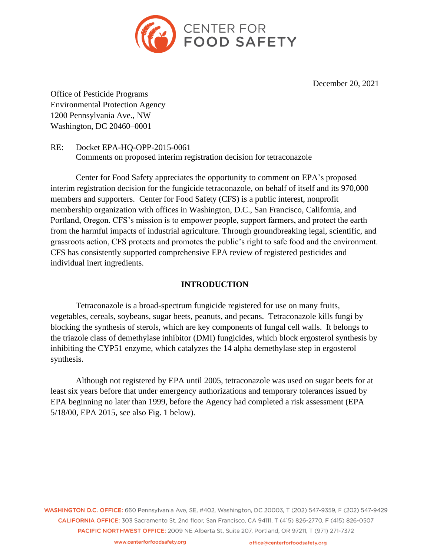

December 20, 2021

Office of Pesticide Programs Environmental Protection Agency 1200 Pennsylvania Ave., NW Washington, DC 20460–0001

RE: Docket EPA-HQ-OPP-2015-0061 Comments on proposed interim registration decision for tetraconazole

Center for Food Safety appreciates the opportunity to comment on EPA's proposed interim registration decision for the fungicide tetraconazole, on behalf of itself and its 970,000 members and supporters. Center for Food Safety (CFS) is a public interest, nonprofit membership organization with offices in Washington, D.C., San Francisco, California, and Portland, Oregon. CFS's mission is to empower people, support farmers, and protect the earth from the harmful impacts of industrial agriculture. Through groundbreaking legal, scientific, and grassroots action, CFS protects and promotes the public's right to safe food and the environment. CFS has consistently supported comprehensive EPA review of registered pesticides and individual inert ingredients.

# **INTRODUCTION**

Tetraconazole is a broad-spectrum fungicide registered for use on many fruits, vegetables, cereals, soybeans, sugar beets, peanuts, and pecans. Tetraconazole kills fungi by blocking the synthesis of sterols, which are key components of fungal cell walls. It belongs to the triazole class of demethylase inhibitor (DMI) fungicides, which block ergosterol synthesis by inhibiting the CYP51 enzyme, which catalyzes the 14 alpha demethylase step in ergosterol synthesis.

Although not registered by EPA until 2005, tetraconazole was used on sugar beets for at least six years before that under emergency authorizations and temporary tolerances issued by EPA beginning no later than 1999, before the Agency had completed a risk assessment (EPA 5/18/00, EPA 2015, see also Fig. 1 below).

WASHINGTON D.C. OFFICE: 660 Pennsylvania Ave, SE, #402, Washington, DC 20003, T (202) 547-9359, F (202) 547-9429 CALIFORNIA OFFICE: 303 Sacramento St. 2nd floor. San Francisco, CA 94111, T (415) 826-2770, F (415) 826-0507 PACIFIC NORTHWEST OFFICE: 2009 NE Alberta St, Suite 207, Portland, OR 97211, T (971) 271-7372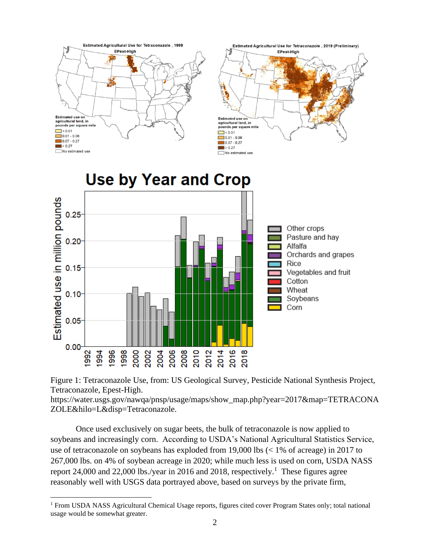

Figure 1: Tetraconazole Use, from: US Geological Survey, Pesticide National Synthesis Project, Tetraconazole, Epest-High.

[https://water.usgs.gov/nawqa/pnsp/usage/maps/show\\_map.php?year=2017&map=TETRACONA](https://water.usgs.gov/nawqa/pnsp/usage/maps/show_map.php?year=2017&map=DIFENOCONAZOLE&hilo=L&disp=Difenoconazole) [ZOLE&hilo=L&disp=Tetraconazole.](https://water.usgs.gov/nawqa/pnsp/usage/maps/show_map.php?year=2017&map=DIFENOCONAZOLE&hilo=L&disp=Difenoconazole)

Once used exclusively on sugar beets, the bulk of tetraconazole is now applied to soybeans and increasingly corn. According to USDA's National Agricultural Statistics Service, use of tetraconazole on soybeans has exploded from 19,000 lbs (< 1% of acreage) in 2017 to 267,000 lbs. on 4% of soybean acreage in 2020; while much less is used on corn, USDA NASS report 24,000 and 22,000 lbs./year in 2016 and 2018, respectively.<sup>1</sup> These figures agree reasonably well with USGS data portrayed above, based on surveys by the private firm,

<sup>1</sup> From USDA NASS Agricultural Chemical Usage reports, figures cited cover Program States only; total national usage would be somewhat greater.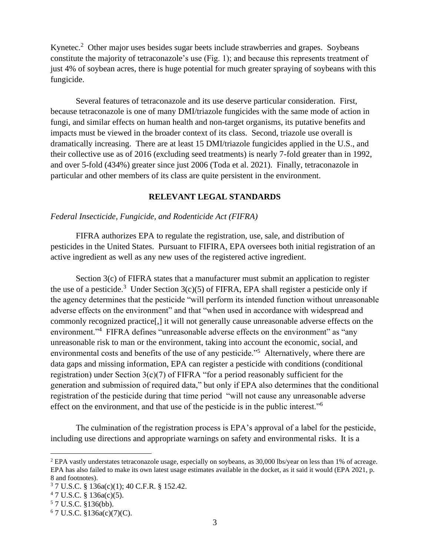Kynetec.<sup>2</sup> Other major uses besides sugar beets include strawberries and grapes. Soybeans constitute the majority of tetraconazole's use (Fig. 1); and because this represents treatment of just 4% of soybean acres, there is huge potential for much greater spraying of soybeans with this fungicide.

Several features of tetraconazole and its use deserve particular consideration. First, because tetraconazole is one of many DMI/triazole fungicides with the same mode of action in fungi, and similar effects on human health and non-target organisms, its putative benefits and impacts must be viewed in the broader context of its class. Second, triazole use overall is dramatically increasing. There are at least 15 DMI/triazole fungicides applied in the U.S., and their collective use as of 2016 (excluding seed treatments) is nearly 7-fold greater than in 1992, and over 5-fold (434%) greater since just 2006 (Toda et al. 2021). Finally, tetraconazole in particular and other members of its class are quite persistent in the environment.

## **RELEVANT LEGAL STANDARDS**

### *Federal Insecticide, Fungicide, and Rodenticide Act (FIFRA)*

FIFRA authorizes EPA to regulate the registration, use, sale, and distribution of pesticides in the United States. Pursuant to FIFIRA, EPA oversees both initial registration of an active ingredient as well as any new uses of the registered active ingredient.

Section 3(c) of FIFRA states that a manufacturer must submit an application to register the use of a pesticide.<sup>3</sup> Under Section  $3(c)(5)$  of FIFRA, EPA shall register a pesticide only if the agency determines that the pesticide "will perform its intended function without unreasonable adverse effects on the environment" and that "when used in accordance with widespread and commonly recognized practice[,] it will not generally cause unreasonable adverse effects on the environment."<sup>4</sup> FIFRA defines "unreasonable adverse effects on the environment" as "any unreasonable risk to man or the environment, taking into account the economic, social, and environmental costs and benefits of the use of any pesticide."<sup>5</sup> Alternatively, where there are data gaps and missing information, EPA can register a pesticide with conditions (conditional registration) under Section  $3(c)(7)$  of FIFRA "for a period reasonably sufficient for the generation and submission of required data," but only if EPA also determines that the conditional registration of the pesticide during that time period "will not cause any unreasonable adverse effect on the environment, and that use of the pesticide is in the public interest."<sup>6</sup>

The culmination of the registration process is EPA's approval of a label for the pesticide, including use directions and appropriate warnings on safety and environmental risks. It is a

<sup>2</sup> EPA vastly understates tetraconazole usage, especially on soybeans, as 30,000 lbs/year on less than 1% of acreage. EPA has also failed to make its own latest usage estimates available in the docket, as it said it would (EPA 2021, p. 8 and footnotes).

<sup>3</sup> 7 U.S.C. § 136a(c)(1); 40 C.F.R. § 152.42.

 $47 \text{ U.S.C. }$ § 136a(c)(5).

<sup>5</sup> 7 U.S.C. §136(bb).

 $6$  7 U.S.C. §136a(c)(7)(C).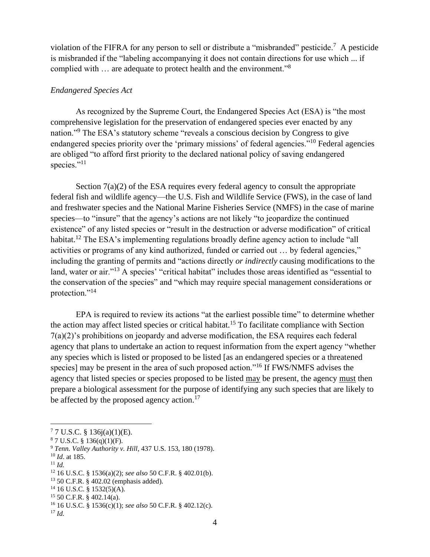violation of the FIFRA for any person to sell or distribute a "misbranded" pesticide.<sup>7</sup> A pesticide is misbranded if the "labeling accompanying it does not contain directions for use which ... if complied with ... are adequate to protect health and the environment."<sup>8</sup>

## *Endangered Species Act*

As recognized by the Supreme Court, the Endangered Species Act (ESA) is "the most comprehensive legislation for the preservation of endangered species ever enacted by any nation."<sup>9</sup> The ESA's statutory scheme "reveals a conscious decision by Congress to give endangered species priority over the 'primary missions' of federal agencies."<sup>10</sup> Federal agencies are obliged "to afford first priority to the declared national policy of saving endangered species."<sup>11</sup>

Section 7(a)(2) of the ESA requires every federal agency to consult the appropriate federal fish and wildlife agency—the U.S. Fish and Wildlife Service (FWS), in the case of land and freshwater species and the National Marine Fisheries Service (NMFS) in the case of marine species—to "insure" that the agency's actions are not likely "to jeopardize the continued existence" of any listed species or "result in the destruction or adverse modification" of critical habitat.<sup>12</sup> The ESA's implementing regulations broadly define agency action to include "all activities or programs of any kind authorized, funded or carried out … by federal agencies," including the granting of permits and "actions directly *or indirectly* causing modifications to the land, water or air."<sup>13</sup> A species' "critical habitat" includes those areas identified as "essential to the conservation of the species" and "which may require special management considerations or protection."<sup>14</sup>

EPA is required to review its actions "at the earliest possible time" to determine whether the action may affect listed species or critical habitat.<sup>15</sup> To facilitate compliance with Section 7(a)(2)'s prohibitions on jeopardy and adverse modification, the ESA requires each federal agency that plans to undertake an action to request information from the expert agency "whether any species which is listed or proposed to be listed [as an endangered species or a threatened species] may be present in the area of such proposed action."<sup>16</sup> If FWS/NMFS advises the agency that listed species or species proposed to be listed may be present, the agency must then prepare a biological assessment for the purpose of identifying any such species that are likely to be affected by the proposed agency action.<sup>17</sup>

<sup>11</sup> *Id.*

 $14$  16 U.S.C. § 1532(5)(A).

 $77 \text{ U.S.C. }$ § 136j(a)(1)(E).

 $87 \text{ U.S.C. } §136(q)(1)(F).$ 

<sup>9</sup> *Tenn. Valley Authority v. Hill*, 437 U.S. 153, 180 (1978).

<sup>10</sup> *Id*. at 185.

<sup>12</sup> 16 U.S.C. § 1536(a)(2); *see also* 50 C.F.R. § 402.01(b).

<sup>13</sup> 50 C.F.R. § 402.02 (emphasis added).

 $15$  50 C.F.R. § 402.14(a).

<sup>16</sup> 16 U.S.C. § 1536(c)(1); *see also* 50 C.F.R. § 402.12(c).

<sup>17</sup> *Id.*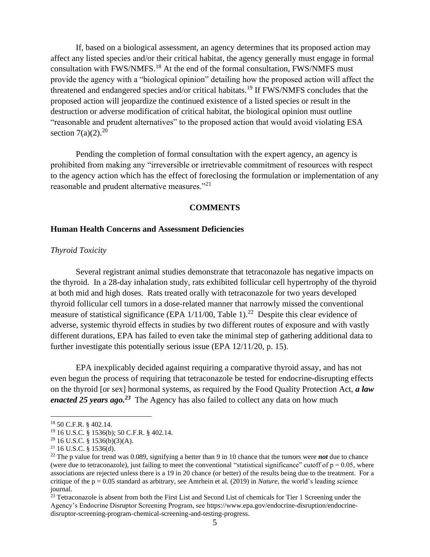If, based on a biological assessment, an agency determines that its proposed action may affect any listed species and/or their critical habitat, the agency generally must engage in formal consultation with FWS/NMFS.<sup>18</sup> At the end of the formal consultation, FWS/NMFS must provide the agency with a "biological opinion" detailing how the proposed action will affect the threatened and endangered species and/or critical habitats.<sup>19</sup> If FWS/NMFS concludes that the proposed action will jeopardize the continued existence of a listed species or result in the destruction or adverse modification of critical habitat, the biological opinion must outline "reasonable and prudent alternatives" to the proposed action that would avoid violating ESA section  $7(a)(2)$ <sup>20</sup>

Pending the completion of formal consultation with the expert agency, an agency is prohibited from making any "irreversible or irretrievable commitment of resources with respect to the agency action which has the effect of foreclosing the formulation or implementation of any reasonable and prudent alternative measures."<sup>21</sup>

### **COMMENTS**

### **Human Health Concerns and Assessment Deficiencies**

### *Thyroid Toxicity*

Several registrant animal studies demonstrate that tetraconazole has negative impacts on the thyroid. In a 28-day inhalation study, rats exhibited follicular cell hypertrophy of the thyroid at both mid and high doses. Rats treated orally with tetraconazole for two years developed thyroid follicular cell tumors in a dose-related manner that narrowly missed the conventional measure of statistical significance (EPA  $1/11/00$ , Table 1).<sup>22</sup> Despite this clear evidence of adverse, systemic thyroid effects in studies by two different routes of exposure and with vastly different durations, EPA has failed to even take the minimal step of gathering additional data to further investigate this potentially serious issue (EPA 12/11/20, p. 15).

EPA inexplicably decided against requiring a comparative thyroid assay, and has not even begun the process of requiring that tetraconazole be tested for endocrine-disrupting effects on the thyroid [or sex] hormonal systems, as required by the Food Quality Protection Act, *a law enacted 25 years ago.<sup>23</sup>* The Agency has also failed to collect any data on how much

<sup>18</sup> 50 C.F.R. § 402.14.

<sup>19</sup> 16 U.S.C. § 1536(b); 50 C.F.R. § 402.14.

 $20$  16 U.S.C. § 1536(b)(3)(A).

 $21$  16 U.S.C. § 1536(d).

<sup>22</sup> The p value for trend was 0.089, signifying a better than 9 in 10 chance that the tumors were *not* due to chance (were due to tetraconazole), just failing to meet the conventional "statistical significance" cutoff of  $p = 0.05$ , where associations are rejected unless there is a 19 in 20 chance (or better) of the results being due to the treatment. For a critique of the p = 0.05 standard as arbitrary, see Amrhein et al. (2019) in *Nature*, the world's leading science journal.

 $23$  Tetraconazole is absent from both the First List and Second List of chemicals for Tier 1 Screening under the Agency's Endocrine Disruptor Screening Program, see [https://www.epa.gov/endocrine-disruption/endocrine](https://www.epa.gov/endocrine-disruption/endocrine-disruptor-screening-program-chemical-screening-and-testing-progress)[disruptor-screening-program-chemical-screening-and-testing-progress.](https://www.epa.gov/endocrine-disruption/endocrine-disruptor-screening-program-chemical-screening-and-testing-progress)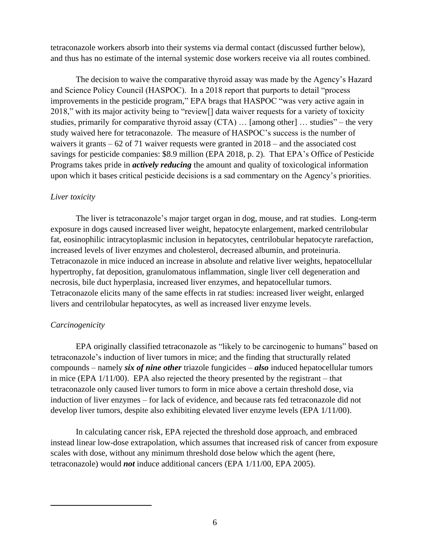tetraconazole workers absorb into their systems via dermal contact (discussed further below), and thus has no estimate of the internal systemic dose workers receive via all routes combined.

The decision to waive the comparative thyroid assay was made by the Agency's Hazard and Science Policy Council (HASPOC). In a 2018 report that purports to detail "process improvements in the pesticide program," EPA brags that HASPOC "was very active again in 2018," with its major activity being to "review[] data waiver requests for a variety of toxicity studies, primarily for comparative thyroid assay  $(CTA)$  ... [among other] ... studies" – the very study waived here for tetraconazole. The measure of HASPOC's success is the number of waivers it grants – 62 of 71 waiver requests were granted in 2018 – and the associated cost savings for pesticide companies: \$8.9 million (EPA 2018, p. 2). That EPA's Office of Pesticide Programs takes pride in *actively reducing* the amount and quality of toxicological information upon which it bases critical pesticide decisions is a sad commentary on the Agency's priorities.

# *Liver toxicity*

The liver is tetraconazole's major target organ in dog, mouse, and rat studies. Long-term exposure in dogs caused increased liver weight, hepatocyte enlargement, marked centrilobular fat, eosinophilic intracytoplasmic inclusion in hepatocytes, centrilobular hepatocyte rarefaction, increased levels of liver enzymes and cholesterol, decreased albumin, and proteinuria. Tetraconazole in mice induced an increase in absolute and relative liver weights, hepatocellular hypertrophy, fat deposition, granulomatous inflammation, single liver cell degeneration and necrosis, bile duct hyperplasia, increased liver enzymes, and hepatocellular tumors. Tetraconazole elicits many of the same effects in rat studies: increased liver weight, enlarged livers and centrilobular hepatocytes, as well as increased liver enzyme levels.

# *Carcinogenicity*

EPA originally classified tetraconazole as "likely to be carcinogenic to humans" based on tetraconazole's induction of liver tumors in mice; and the finding that structurally related compounds – namely *six of nine other* triazole fungicides – *also* induced hepatocellular tumors in mice (EPA 1/11/00). EPA also rejected the theory presented by the registrant – that tetraconazole only caused liver tumors to form in mice above a certain threshold dose, via induction of liver enzymes – for lack of evidence, and because rats fed tetraconazole did not develop liver tumors, despite also exhibiting elevated liver enzyme levels (EPA 1/11/00).

In calculating cancer risk, EPA rejected the threshold dose approach, and embraced instead linear low-dose extrapolation, which assumes that increased risk of cancer from exposure scales with dose, without any minimum threshold dose below which the agent (here, tetraconazole) would *not* induce additional cancers (EPA 1/11/00, EPA 2005).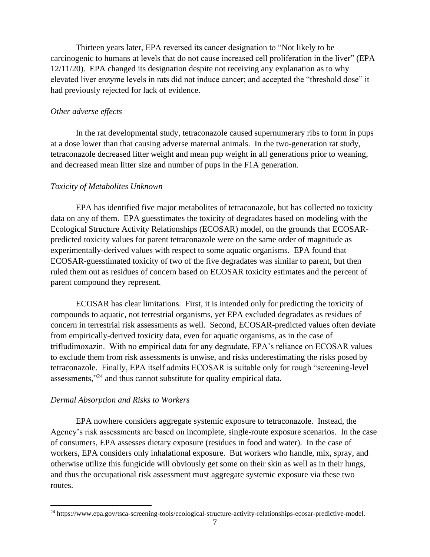Thirteen years later, EPA reversed its cancer designation to "Not likely to be carcinogenic to humans at levels that do not cause increased cell proliferation in the liver" (EPA 12/11/20). EPA changed its designation despite not receiving any explanation as to why elevated liver enzyme levels in rats did not induce cancer; and accepted the "threshold dose" it had previously rejected for lack of evidence.

## *Other adverse effects*

In the rat developmental study, tetraconazole caused supernumerary ribs to form in pups at a dose lower than that causing adverse maternal animals. In the two-generation rat study, tetraconazole decreased litter weight and mean pup weight in all generations prior to weaning, and decreased mean litter size and number of pups in the F1A generation.

## *Toxicity of Metabolites Unknown*

EPA has identified five major metabolites of tetraconazole, but has collected no toxicity data on any of them. EPA guesstimates the toxicity of degradates based on modeling with the Ecological Structure Activity Relationships (ECOSAR) model, on the grounds that ECOSARpredicted toxicity values for parent tetraconazole were on the same order of magnitude as experimentally-derived values with respect to some aquatic organisms. EPA found that ECOSAR-guesstimated toxicity of two of the five degradates was similar to parent, but then ruled them out as residues of concern based on ECOSAR toxicity estimates and the percent of parent compound they represent.

ECOSAR has clear limitations. First, it is intended only for predicting the toxicity of compounds to aquatic, not terrestrial organisms, yet EPA excluded degradates as residues of concern in terrestrial risk assessments as well. Second, ECOSAR-predicted values often deviate from empirically-derived toxicity data, even for aquatic organisms, as in the case of trifludimoxazin. With no empirical data for any degradate, EPA's reliance on ECOSAR values to exclude them from risk assessments is unwise, and risks underestimating the risks posed by tetraconazole. Finally, EPA itself admits ECOSAR is suitable only for rough "screening-level assessments,"<sup>24</sup> and thus cannot substitute for quality empirical data.

### *Dermal Absorption and Risks to Workers*

EPA nowhere considers aggregate systemic exposure to tetraconazole. Instead, the Agency's risk assessments are based on incomplete, single-route exposure scenarios. In the case of consumers, EPA assesses dietary exposure (residues in food and water). In the case of workers, EPA considers only inhalational exposure. But workers who handle, mix, spray, and otherwise utilize this fungicide will obviously get some on their skin as well as in their lungs, and thus the occupational risk assessment must aggregate systemic exposure via these two routes.

<sup>24</sup> [https://www.epa.gov/tsca-screening-tools/ecological-structure-activity-relationships-ecosar-predictive-model.](https://www.epa.gov/tsca-screening-tools/ecological-structure-activity-relationships-ecosar-predictive-model)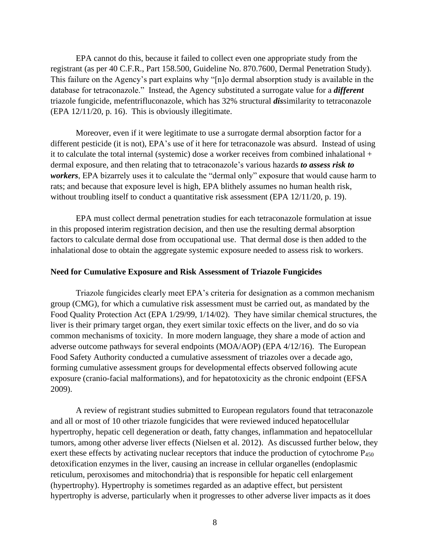EPA cannot do this, because it failed to collect even one appropriate study from the registrant (as per 40 C.F.R., Part 158.500, Guideline No. 870.7600, Dermal Penetration Study). This failure on the Agency's part explains why "[n]o dermal absorption study is available in the database for tetraconazole." Instead, the Agency substituted a surrogate value for a *different* triazole fungicide, mefentrifluconazole, which has 32% structural *dis*similarity to tetraconazole (EPA 12/11/20, p. 16). This is obviously illegitimate.

Moreover, even if it were legitimate to use a surrogate dermal absorption factor for a different pesticide (it is not), EPA's use of it here for tetraconazole was absurd. Instead of using it to calculate the total internal (systemic) dose a worker receives from combined inhalational + dermal exposure, and then relating that to tetraconazole's various hazards *to assess risk to workers*, EPA bizarrely uses it to calculate the "dermal only" exposure that would cause harm to rats; and because that exposure level is high, EPA blithely assumes no human health risk, without troubling itself to conduct a quantitative risk assessment (EPA 12/11/20, p. 19).

EPA must collect dermal penetration studies for each tetraconazole formulation at issue in this proposed interim registration decision, and then use the resulting dermal absorption factors to calculate dermal dose from occupational use. That dermal dose is then added to the inhalational dose to obtain the aggregate systemic exposure needed to assess risk to workers.

### **Need for Cumulative Exposure and Risk Assessment of Triazole Fungicides**

Triazole fungicides clearly meet EPA's criteria for designation as a common mechanism group (CMG), for which a cumulative risk assessment must be carried out, as mandated by the Food Quality Protection Act (EPA 1/29/99, 1/14/02). They have similar chemical structures, the liver is their primary target organ, they exert similar toxic effects on the liver, and do so via common mechanisms of toxicity. In more modern language, they share a mode of action and adverse outcome pathways for several endpoints (MOA/AOP) (EPA 4/12/16). The European Food Safety Authority conducted a cumulative assessment of triazoles over a decade ago, forming cumulative assessment groups for developmental effects observed following acute exposure (cranio-facial malformations), and for hepatotoxicity as the chronic endpoint (EFSA 2009).

A review of registrant studies submitted to European regulators found that tetraconazole and all or most of 10 other triazole fungicides that were reviewed induced hepatocellular hypertrophy, hepatic cell degeneration or death, fatty changes, inflammation and hepatocellular tumors, among other adverse liver effects (Nielsen et al. 2012). As discussed further below, they exert these effects by activating nuclear receptors that induce the production of cytochrome P<sub>450</sub> detoxification enzymes in the liver, causing an increase in cellular organelles (endoplasmic reticulum, peroxisomes and mitochondria) that is responsible for hepatic cell enlargement (hypertrophy). Hypertrophy is sometimes regarded as an adaptive effect, but persistent hypertrophy is adverse, particularly when it progresses to other adverse liver impacts as it does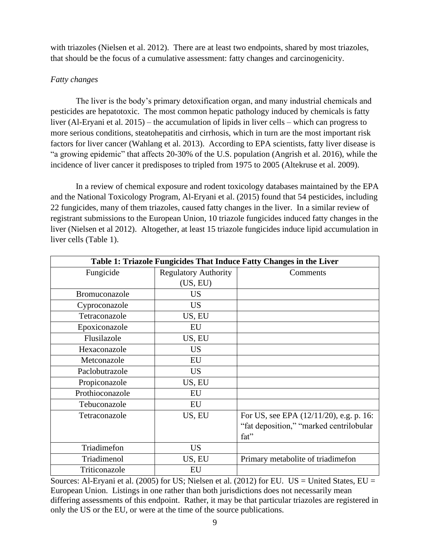with triazoles (Nielsen et al. 2012). There are at least two endpoints, shared by most triazoles, that should be the focus of a cumulative assessment: fatty changes and carcinogenicity.

# *Fatty changes*

The liver is the body's primary detoxification organ, and many industrial chemicals and pesticides are hepatotoxic. The most common hepatic pathology induced by chemicals is fatty liver (Al-Eryani et al. 2015) – the accumulation of lipids in liver cells – which can progress to more serious conditions, steatohepatitis and cirrhosis, which in turn are the most important risk factors for liver cancer (Wahlang et al. 2013). According to EPA scientists, fatty liver disease is "a growing epidemic" that affects 20-30% of the U.S. population (Angrish et al. 2016), while the incidence of liver cancer it predisposes to tripled from 1975 to 2005 (Altekruse et al. 2009).

In a review of chemical exposure and rodent toxicology databases maintained by the EPA and the National Toxicology Program, Al-Eryani et al. (2015) found that 54 pesticides, including 22 fungicides, many of them triazoles, caused fatty changes in the liver. In a similar review of registrant submissions to the European Union, 10 triazole fungicides induced fatty changes in the liver (Nielsen et al 2012). Altogether, at least 15 triazole fungicides induce lipid accumulation in liver cells (Table 1).

| Table 1: Triazole Fungicides That Induce Fatty Changes in the Liver |                             |                                          |  |
|---------------------------------------------------------------------|-----------------------------|------------------------------------------|--|
| Fungicide                                                           | <b>Regulatory Authority</b> | Comments                                 |  |
|                                                                     | (US, EU)                    |                                          |  |
| Bromuconazole                                                       | <b>US</b>                   |                                          |  |
| Cyproconazole                                                       | <b>US</b>                   |                                          |  |
| Tetraconazole                                                       | US, EU                      |                                          |  |
| Epoxiconazole                                                       | EU                          |                                          |  |
| Flusilazole                                                         | US, EU                      |                                          |  |
| Hexaconazole                                                        | <b>US</b>                   |                                          |  |
| Metconazole                                                         | EU                          |                                          |  |
| Paclobutrazole                                                      | <b>US</b>                   |                                          |  |
| Propiconazole                                                       | US, EU                      |                                          |  |
| Prothioconazole                                                     | EU                          |                                          |  |
| Tebuconazole                                                        | EU                          |                                          |  |
| Tetraconazole                                                       | US, EU                      | For US, see EPA (12/11/20), e.g. p. 16:  |  |
|                                                                     |                             | "fat deposition," "marked centrilobular" |  |
|                                                                     |                             | fat"                                     |  |
| Triadimefon                                                         | <b>US</b>                   |                                          |  |
| Triadimenol                                                         | US, EU                      | Primary metabolite of triadimefon        |  |
| Triticonazole                                                       | EU                          |                                          |  |

Sources: Al-Eryani et al. (2005) for US; Nielsen et al. (2012) for EU. US = United States,  $EU =$ European Union. Listings in one rather than both jurisdictions does not necessarily mean differing assessments of this endpoint. Rather, it may be that particular triazoles are registered in only the US or the EU, or were at the time of the source publications.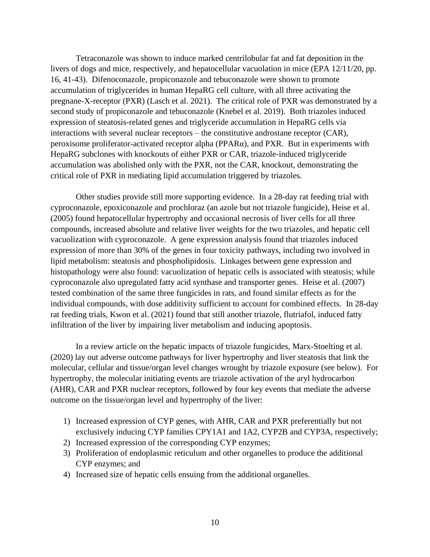Tetraconazole was shown to induce marked centrilobular fat and fat deposition in the livers of dogs and mice, respectively, and hepatocellular vacuolation in mice (EPA 12/11/20, pp. 16, 41-43). Difenoconazole, propiconazole and tebuconazole were shown to promote accumulation of triglycerides in human HepaRG cell culture, with all three activating the pregnane-X-receptor (PXR) (Lasch et al. 2021). The critical role of PXR was demonstrated by a second study of propiconazole and tebuconazole (Knebel et al. 2019). Both triazoles induced expression of steatosis-related genes and triglyceride accumulation in HepaRG cells via interactions with several nuclear receptors – the constitutive androstane receptor (CAR), peroxisome proliferator-activated receptor alpha (PPARα), and PXR. But in experiments with HepaRG subclones with knockouts of either PXR or CAR, triazole-induced triglyceride accumulation was abolished only with the PXR, not the CAR, knockout, demonstrating the critical role of PXR in mediating lipid accumulation triggered by triazoles.

Other studies provide still more supporting evidence. In a 28-day rat feeding trial with cyproconazole, epoxiconazole and prochloraz (an azole but not triazole fungicide), Heise et al. (2005) found hepatocellular hypertrophy and occasional necrosis of liver cells for all three compounds, increased absolute and relative liver weights for the two triazoles, and hepatic cell vacuolization with cyproconazole. A gene expression analysis found that triazoles induced expression of more than 30% of the genes in four toxicity pathways, including two involved in lipid metabolism: steatosis and phospholipidosis. Linkages between gene expression and histopathology were also found: vacuolization of hepatic cells is associated with steatosis; while cyproconazole also upregulated fatty acid synthase and transporter genes. Heise et al. (2007) tested combination of the same three fungicides in rats, and found similar effects as for the individual compounds, with dose additivity sufficient to account for combined effects. In 28-day rat feeding trials, Kwon et al. (2021) found that still another triazole, flutriafol, induced fatty infiltration of the liver by impairing liver metabolism and inducing apoptosis.

In a review article on the hepatic impacts of triazole fungicides, Marx-Stoelting et al. (2020) lay out adverse outcome pathways for liver hypertrophy and liver steatosis that link the molecular, cellular and tissue/organ level changes wrought by triazole exposure (see below). For hypertrophy, the molecular initiating events are triazole activation of the aryl hydrocarbon (AHR), CAR and PXR nuclear receptors, followed by four key events that mediate the adverse outcome on the tissue/organ level and hypertrophy of the liver:

- 1) Increased expression of CYP genes, with AHR, CAR and PXR preferentially but not exclusively inducing CYP families CPY1A1 and 1A2, CYP2B and CYP3A, respectively;
- 2) Increased expression of the corresponding CYP enzymes;
- 3) Proliferation of endoplasmic reticulum and other organelles to produce the additional CYP enzymes; and
- 4) Increased size of hepatic cells ensuing from the additional organelles.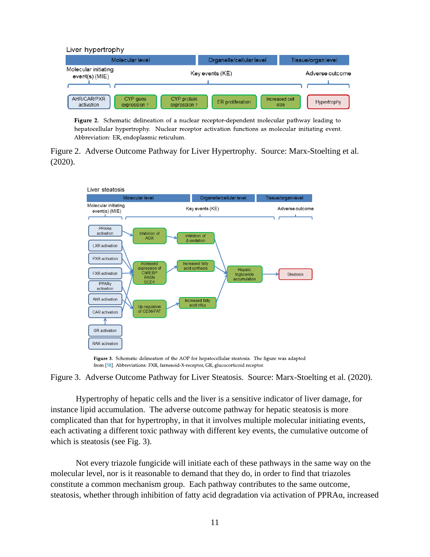

Figure 2. Schematic delineation of a nuclear receptor-dependent molecular pathway leading to hepatocellular hypertrophy. Nuclear receptor activation functions as molecular initiating event. Abbreviation: ER, endoplasmic reticulum.

Figure 2. Adverse Outcome Pathway for Liver Hypertrophy. Source: Marx-Stoelting et al. (2020).



Figure 3. Schematic delineation of the AOP for hepatocellular steatosis. The figure was adapted from [58]. Abbreviations: FXR, farnesoid-X-receptor, GR, glucocorticoid receptor.

Figure 3. Adverse Outcome Pathway for Liver Steatosis. Source: Marx-Stoelting et al. (2020).

Hypertrophy of hepatic cells and the liver is a sensitive indicator of liver damage, for instance lipid accumulation. The adverse outcome pathway for hepatic steatosis is more complicated than that for hypertrophy, in that it involves multiple molecular initiating events, each activating a different toxic pathway with different key events, the cumulative outcome of which is steatosis (see Fig. 3).

Not every triazole fungicide will initiate each of these pathways in the same way on the molecular level, nor is it reasonable to demand that they do, in order to find that triazoles constitute a common mechanism group. Each pathway contributes to the same outcome, steatosis, whether through inhibition of fatty acid degradation via activation of PPRAα, increased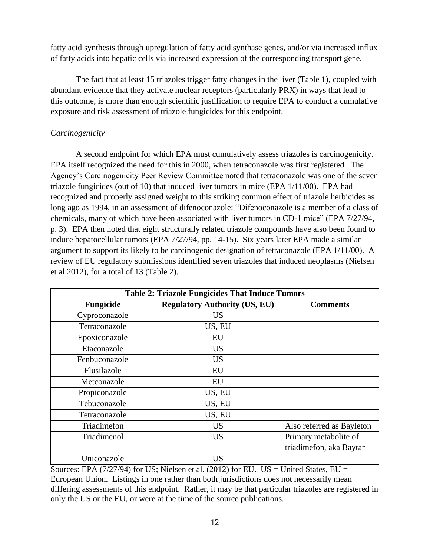fatty acid synthesis through upregulation of fatty acid synthase genes, and/or via increased influx of fatty acids into hepatic cells via increased expression of the corresponding transport gene.

The fact that at least 15 triazoles trigger fatty changes in the liver (Table 1), coupled with abundant evidence that they activate nuclear receptors (particularly PRX) in ways that lead to this outcome, is more than enough scientific justification to require EPA to conduct a cumulative exposure and risk assessment of triazole fungicides for this endpoint.

# *Carcinogenicity*

A second endpoint for which EPA must cumulatively assess triazoles is carcinogenicity. EPA itself recognized the need for this in 2000, when tetraconazole was first registered. The Agency's Carcinogenicity Peer Review Committee noted that tetraconazole was one of the seven triazole fungicides (out of 10) that induced liver tumors in mice (EPA 1/11/00). EPA had recognized and properly assigned weight to this striking common effect of triazole herbicides as long ago as 1994, in an assessment of difenoconazole: "Difenoconazole is a member of a class of chemicals, many of which have been associated with liver tumors in CD-1 mice" (EPA 7/27/94, p. 3). EPA then noted that eight structurally related triazole compounds have also been found to induce hepatocellular tumors (EPA 7/27/94, pp. 14-15). Six years later EPA made a similar argument to support its likely to be carcinogenic designation of tetraconazole (EPA 1/11/00). A review of EU regulatory submissions identified seven triazoles that induced neoplasms (Nielsen et al 2012), for a total of 13 (Table 2).

| <b>Table 2: Triazole Fungicides That Induce Tumors</b> |                                      |                           |  |
|--------------------------------------------------------|--------------------------------------|---------------------------|--|
| Fungicide                                              | <b>Regulatory Authority (US, EU)</b> | <b>Comments</b>           |  |
| Cyproconazole                                          | US                                   |                           |  |
| Tetraconazole                                          | US, EU                               |                           |  |
| Epoxiconazole                                          | EU                                   |                           |  |
| Etaconazole                                            | <b>US</b>                            |                           |  |
| Fenbuconazole                                          | <b>US</b>                            |                           |  |
| Flusilazole                                            | EU                                   |                           |  |
| Metconazole                                            | EU                                   |                           |  |
| Propiconazole                                          | US, EU                               |                           |  |
| Tebuconazole                                           | US, EU                               |                           |  |
| Tetraconazole                                          | US, EU                               |                           |  |
| Triadimefon                                            | <b>US</b>                            | Also referred as Bayleton |  |
| Triadimenol                                            | <b>US</b>                            | Primary metabolite of     |  |
|                                                        |                                      | triadimefon, aka Baytan   |  |
| Uniconazole                                            | US                                   |                           |  |

Sources: EPA (7/27/94) for US; Nielsen et al. (2012) for EU. US = United States, EU = European Union. Listings in one rather than both jurisdictions does not necessarily mean differing assessments of this endpoint. Rather, it may be that particular triazoles are registered in only the US or the EU, or were at the time of the source publications.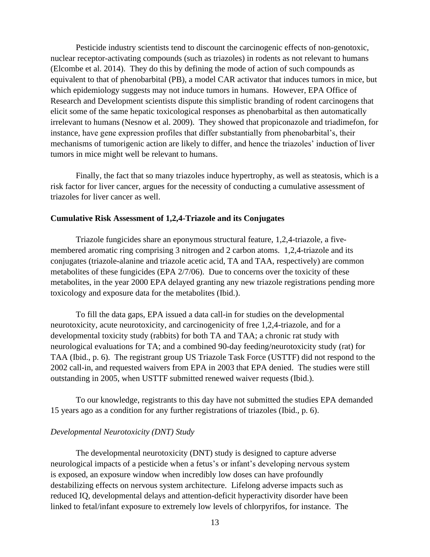Pesticide industry scientists tend to discount the carcinogenic effects of non-genotoxic, nuclear receptor-activating compounds (such as triazoles) in rodents as not relevant to humans (Elcombe et al. 2014). They do this by defining the mode of action of such compounds as equivalent to that of phenobarbital (PB), a model CAR activator that induces tumors in mice, but which epidemiology suggests may not induce tumors in humans. However, EPA Office of Research and Development scientists dispute this simplistic branding of rodent carcinogens that elicit some of the same hepatic toxicological responses as phenobarbital as then automatically irrelevant to humans (Nesnow et al. 2009). They showed that propiconazole and triadimefon, for instance, have gene expression profiles that differ substantially from phenobarbital's, their mechanisms of tumorigenic action are likely to differ, and hence the triazoles' induction of liver tumors in mice might well be relevant to humans.

Finally, the fact that so many triazoles induce hypertrophy, as well as steatosis, which is a risk factor for liver cancer, argues for the necessity of conducting a cumulative assessment of triazoles for liver cancer as well.

### **Cumulative Risk Assessment of 1,2,4-Triazole and its Conjugates**

Triazole fungicides share an eponymous structural feature, 1,2,4-triazole, a fivemembered aromatic ring comprising 3 nitrogen and 2 carbon atoms. 1,2,4-triazole and its conjugates (triazole-alanine and triazole acetic acid, TA and TAA, respectively) are common metabolites of these fungicides (EPA 2/7/06). Due to concerns over the toxicity of these metabolites, in the year 2000 EPA delayed granting any new triazole registrations pending more toxicology and exposure data for the metabolites (Ibid.).

To fill the data gaps, EPA issued a data call-in for studies on the developmental neurotoxicity, acute neurotoxicity, and carcinogenicity of free 1,2,4-triazole, and for a developmental toxicity study (rabbits) for both TA and TAA; a chronic rat study with neurological evaluations for TA; and a combined 90-day feeding/neurotoxicity study (rat) for TAA (Ibid., p. 6). The registrant group US Triazole Task Force (USTTF) did not respond to the 2002 call-in, and requested waivers from EPA in 2003 that EPA denied. The studies were still outstanding in 2005, when USTTF submitted renewed waiver requests (Ibid.).

To our knowledge, registrants to this day have not submitted the studies EPA demanded 15 years ago as a condition for any further registrations of triazoles (Ibid., p. 6).

### *Developmental Neurotoxicity (DNT) Study*

The developmental neurotoxicity (DNT) study is designed to capture adverse neurological impacts of a pesticide when a fetus's or infant's developing nervous system is exposed, an exposure window when incredibly low doses can have profoundly destabilizing effects on nervous system architecture. Lifelong adverse impacts such as reduced IQ, developmental delays and attention-deficit hyperactivity disorder have been linked to fetal/infant exposure to extremely low levels of chlorpyrifos, for instance. The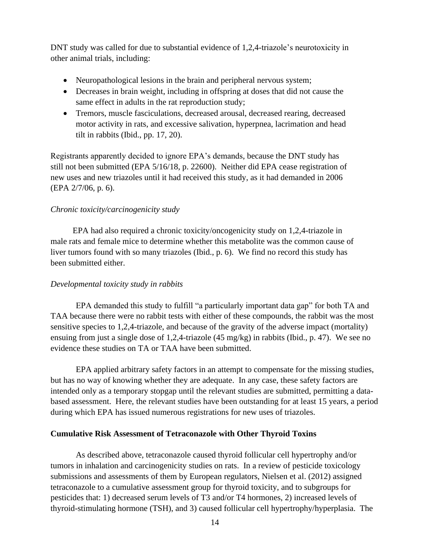DNT study was called for due to substantial evidence of 1,2,4-triazole's neurotoxicity in other animal trials, including:

- Neuropathological lesions in the brain and peripheral nervous system;
- Decreases in brain weight, including in offspring at doses that did not cause the same effect in adults in the rat reproduction study;
- Tremors, muscle fasciculations, decreased arousal, decreased rearing, decreased motor activity in rats, and excessive salivation, hyperpnea, lacrimation and head tilt in rabbits (Ibid., pp. 17, 20).

Registrants apparently decided to ignore EPA's demands, because the DNT study has still not been submitted (EPA 5/16/18, p. 22600). Neither did EPA cease registration of new uses and new triazoles until it had received this study, as it had demanded in 2006 (EPA 2/7/06, p. 6).

## *Chronic toxicity/carcinogenicity study*

EPA had also required a chronic toxicity/oncogenicity study on 1,2,4-triazole in male rats and female mice to determine whether this metabolite was the common cause of liver tumors found with so many triazoles (Ibid., p. 6). We find no record this study has been submitted either.

## *Developmental toxicity study in rabbits*

EPA demanded this study to fulfill "a particularly important data gap" for both TA and TAA because there were no rabbit tests with either of these compounds, the rabbit was the most sensitive species to 1,2,4-triazole, and because of the gravity of the adverse impact (mortality) ensuing from just a single dose of 1,2,4-triazole (45 mg/kg) in rabbits (Ibid., p. 47). We see no evidence these studies on TA or TAA have been submitted.

EPA applied arbitrary safety factors in an attempt to compensate for the missing studies, but has no way of knowing whether they are adequate. In any case, these safety factors are intended only as a temporary stopgap until the relevant studies are submitted, permitting a databased assessment. Here, the relevant studies have been outstanding for at least 15 years, a period during which EPA has issued numerous registrations for new uses of triazoles.

### **Cumulative Risk Assessment of Tetraconazole with Other Thyroid Toxins**

As described above, tetraconazole caused thyroid follicular cell hypertrophy and/or tumors in inhalation and carcinogenicity studies on rats. In a review of pesticide toxicology submissions and assessments of them by European regulators, Nielsen et al. (2012) assigned tetraconazole to a cumulative assessment group for thyroid toxicity, and to subgroups for pesticides that: 1) decreased serum levels of T3 and/or T4 hormones, 2) increased levels of thyroid-stimulating hormone (TSH), and 3) caused follicular cell hypertrophy/hyperplasia. The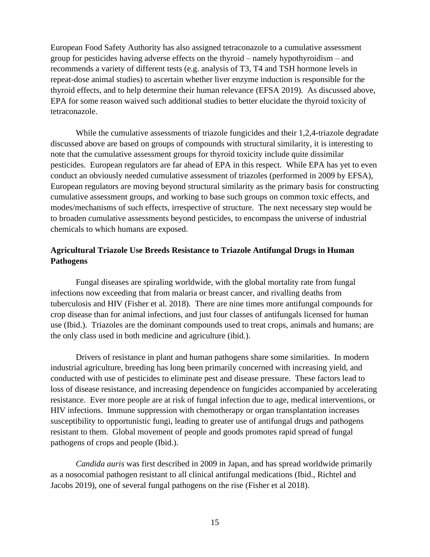European Food Safety Authority has also assigned tetraconazole to a cumulative assessment group for pesticides having adverse effects on the thyroid – namely hypothyroidism – and recommends a variety of different tests (e.g. analysis of T3, T4 and TSH hormone levels in repeat-dose animal studies) to ascertain whether liver enzyme induction is responsible for the thyroid effects, and to help determine their human relevance (EFSA 2019). As discussed above, EPA for some reason waived such additional studies to better elucidate the thyroid toxicity of tetraconazole.

While the cumulative assessments of triazole fungicides and their 1,2,4-triazole degradate discussed above are based on groups of compounds with structural similarity, it is interesting to note that the cumulative assessment groups for thyroid toxicity include quite dissimilar pesticides. European regulators are far ahead of EPA in this respect. While EPA has yet to even conduct an obviously needed cumulative assessment of triazoles (performed in 2009 by EFSA), European regulators are moving beyond structural similarity as the primary basis for constructing cumulative assessment groups, and working to base such groups on common toxic effects, and modes/mechanisms of such effects, irrespective of structure. The next necessary step would be to broaden cumulative assessments beyond pesticides, to encompass the universe of industrial chemicals to which humans are exposed.

# **Agricultural Triazole Use Breeds Resistance to Triazole Antifungal Drugs in Human Pathogens**

Fungal diseases are spiraling worldwide, with the global mortality rate from fungal infections now exceeding that from malaria or breast cancer, and rivalling deaths from tuberculosis and HIV (Fisher et al. 2018). There are nine times more antifungal compounds for crop disease than for animal infections, and just four classes of antifungals licensed for human use (Ibid.). Triazoles are the dominant compounds used to treat crops, animals and humans; are the only class used in both medicine and agriculture (ibid.).

Drivers of resistance in plant and human pathogens share some similarities. In modern industrial agriculture, breeding has long been primarily concerned with increasing yield, and conducted with use of pesticides to eliminate pest and disease pressure. These factors lead to loss of disease resistance, and increasing dependence on fungicides accompanied by accelerating resistance. Ever more people are at risk of fungal infection due to age, medical interventions, or HIV infections. Immune suppression with chemotherapy or organ transplantation increases susceptibility to opportunistic fungi, leading to greater use of antifungal drugs and pathogens resistant to them. Global movement of people and goods promotes rapid spread of fungal pathogens of crops and people (Ibid.).

*Candida auris* was first described in 2009 in Japan, and has spread worldwide primarily as a nosocomial pathogen resistant to all clinical antifungal medications (Ibid., Richtel and Jacobs 2019), one of several fungal pathogens on the rise (Fisher et al 2018).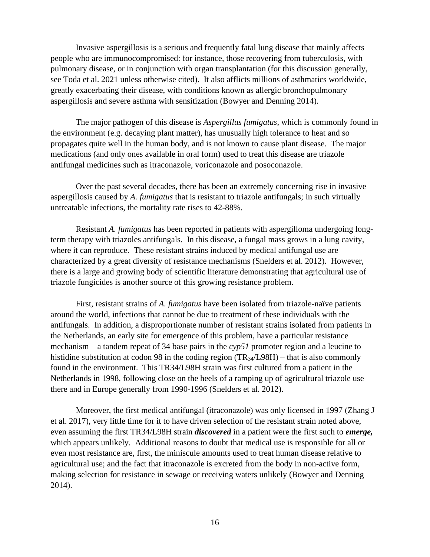Invasive aspergillosis is a serious and frequently fatal lung disease that mainly affects people who are immunocompromised: for instance, those recovering from tuberculosis, with pulmonary disease, or in conjunction with organ transplantation (for this discussion generally, see Toda et al. 2021 unless otherwise cited). It also afflicts millions of asthmatics worldwide, greatly exacerbating their disease, with conditions known as allergic bronchopulmonary aspergillosis and severe asthma with sensitization (Bowyer and Denning 2014).

The major pathogen of this disease is *Aspergillus fumigatus*, which is commonly found in the environment (e.g. decaying plant matter), has unusually high tolerance to heat and so propagates quite well in the human body, and is not known to cause plant disease. The major medications (and only ones available in oral form) used to treat this disease are triazole antifungal medicines such as itraconazole, voriconazole and posoconazole.

Over the past several decades, there has been an extremely concerning rise in invasive aspergillosis caused by *A. fumigatus* that is resistant to triazole antifungals; in such virtually untreatable infections, the mortality rate rises to 42-88%.

Resistant *A. fumigatus* has been reported in patients with aspergilloma undergoing longterm therapy with triazoles antifungals. In this disease, a fungal mass grows in a lung cavity, where it can reproduce. These resistant strains induced by medical antifungal use are characterized by a great diversity of resistance mechanisms (Snelders et al. 2012). However, there is a large and growing body of scientific literature demonstrating that agricultural use of triazole fungicides is another source of this growing resistance problem.

First, resistant strains of *A. fumigatus* have been isolated from triazole-naïve patients around the world, infections that cannot be due to treatment of these individuals with the antifungals. In addition, a disproportionate number of resistant strains isolated from patients in the Netherlands, an early site for emergence of this problem, have a particular resistance mechanism – a tandem repeat of 34 base pairs in the *cyp51* promoter region and a leucine to histidine substitution at codon 98 in the coding region (TR<sub>34</sub>/L98H) – that is also commonly found in the environment. This TR34/L98H strain was first cultured from a patient in the Netherlands in 1998, following close on the heels of a ramping up of agricultural triazole use there and in Europe generally from 1990-1996 (Snelders et al. 2012).

Moreover, the first medical antifungal (itraconazole) was only licensed in 1997 (Zhang J et al. 2017), very little time for it to have driven selection of the resistant strain noted above, even assuming the first TR34/L98H strain *discovered* in a patient were the first such to *emerge,* which appears unlikely. Additional reasons to doubt that medical use is responsible for all or even most resistance are, first, the miniscule amounts used to treat human disease relative to agricultural use; and the fact that itraconazole is excreted from the body in non-active form, making selection for resistance in sewage or receiving waters unlikely (Bowyer and Denning 2014).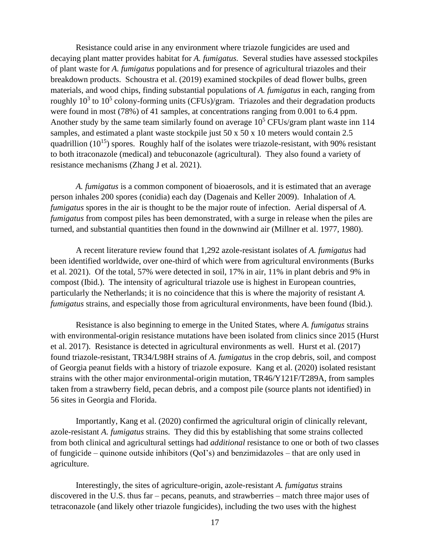Resistance could arise in any environment where triazole fungicides are used and decaying plant matter provides habitat for *A. fumigatus.* Several studies have assessed stockpiles of plant waste for *A. fumigatus* populations and for presence of agricultural triazoles and their breakdown products. Schoustra et al. (2019) examined stockpiles of dead flower bulbs, green materials, and wood chips, finding substantial populations of *A. fumigatus* in each, ranging from roughly  $10^3$  to  $10^5$  colony-forming units (CFUs)/gram. Triazoles and their degradation products were found in most (78%) of 41 samples, at concentrations ranging from 0.001 to 6.4 ppm. Another study by the same team similarly found on average  $10^5$  CFUs/gram plant waste inn 114 samples, and estimated a plant waste stockpile just 50 x 50 x 10 meters would contain 2.5 quadrillion  $(10^{15})$  spores. Roughly half of the isolates were triazole-resistant, with 90% resistant to both itraconazole (medical) and tebuconazole (agricultural). They also found a variety of resistance mechanisms (Zhang J et al. 2021).

*A. fumigatus* is a common component of bioaerosols, and it is estimated that an average person inhales 200 spores (conidia) each day (Dagenais and Keller 2009). Inhalation of *A. fumigatus* spores in the air is thought to be the major route of infection. Aerial dispersal of *A. fumigatus* from compost piles has been demonstrated, with a surge in release when the piles are turned, and substantial quantities then found in the downwind air (Millner et al. 1977, 1980).

A recent literature review found that 1,292 azole-resistant isolates of *A. fumigatus* had been identified worldwide, over one-third of which were from agricultural environments (Burks et al. 2021). Of the total, 57% were detected in soil, 17% in air, 11% in plant debris and 9% in compost (Ibid.). The intensity of agricultural triazole use is highest in European countries, particularly the Netherlands; it is no coincidence that this is where the majority of resistant *A. fumigatus* strains, and especially those from agricultural environments, have been found (Ibid.).

Resistance is also beginning to emerge in the United States, where *A. fumigatus* strains with environmental-origin resistance mutations have been isolated from clinics since 2015 (Hurst et al. 2017). Resistance is detected in agricultural environments as well. Hurst et al. (2017) found triazole-resistant, TR34/L98H strains of *A. fumigatus* in the crop debris, soil, and compost of Georgia peanut fields with a history of triazole exposure. Kang et al. (2020) isolated resistant strains with the other major environmental-origin mutation, TR46/Y121F/T289A, from samples taken from a strawberry field, pecan debris, and a compost pile (source plants not identified) in 56 sites in Georgia and Florida.

Importantly, Kang et al. (2020) confirmed the agricultural origin of clinically relevant, azole-resistant *A. fumigatus* strains. They did this by establishing that some strains collected from both clinical and agricultural settings had *additional* resistance to one or both of two classes of fungicide – quinone outside inhibitors (QoI's) and benzimidazoles – that are only used in agriculture.

Interestingly, the sites of agriculture-origin, azole-resistant *A. fumigatus* strains discovered in the U.S. thus far – pecans, peanuts, and strawberries – match three major uses of tetraconazole (and likely other triazole fungicides), including the two uses with the highest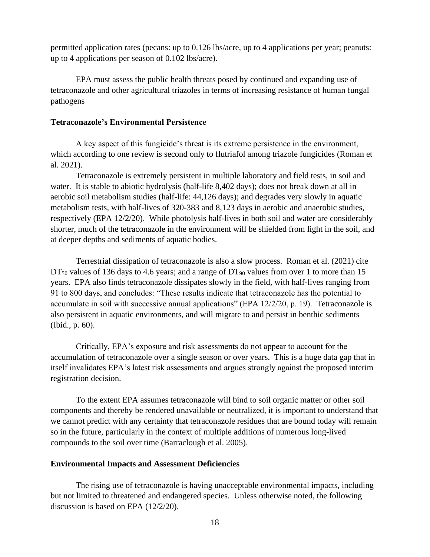permitted application rates (pecans: up to 0.126 lbs/acre, up to 4 applications per year; peanuts: up to 4 applications per season of 0.102 lbs/acre).

EPA must assess the public health threats posed by continued and expanding use of tetraconazole and other agricultural triazoles in terms of increasing resistance of human fungal pathogens

## **Tetraconazole's Environmental Persistence**

A key aspect of this fungicide's threat is its extreme persistence in the environment, which according to one review is second only to flutriafol among triazole fungicides (Roman et al. 2021).

Tetraconazole is extremely persistent in multiple laboratory and field tests, in soil and water. It is stable to abiotic hydrolysis (half-life 8,402 days); does not break down at all in aerobic soil metabolism studies (half-life: 44,126 days); and degrades very slowly in aquatic metabolism tests, with half-lives of 320-383 and 8,123 days in aerobic and anaerobic studies, respectively (EPA 12/2/20). While photolysis half-lives in both soil and water are considerably shorter, much of the tetraconazole in the environment will be shielded from light in the soil, and at deeper depths and sediments of aquatic bodies.

Terrestrial dissipation of tetraconazole is also a slow process. Roman et al. (2021) cite  $DT_{50}$  values of 136 days to 4.6 years; and a range of  $DT_{90}$  values from over 1 to more than 15 years. EPA also finds tetraconazole dissipates slowly in the field, with half-lives ranging from 91 to 800 days, and concludes: "These results indicate that tetraconazole has the potential to accumulate in soil with successive annual applications" (EPA 12/2/20, p. 19). Tetraconazole is also persistent in aquatic environments, and will migrate to and persist in benthic sediments (Ibid., p. 60).

Critically, EPA's exposure and risk assessments do not appear to account for the accumulation of tetraconazole over a single season or over years. This is a huge data gap that in itself invalidates EPA's latest risk assessments and argues strongly against the proposed interim registration decision.

To the extent EPA assumes tetraconazole will bind to soil organic matter or other soil components and thereby be rendered unavailable or neutralized, it is important to understand that we cannot predict with any certainty that tetraconazole residues that are bound today will remain so in the future, particularly in the context of multiple additions of numerous long-lived compounds to the soil over time (Barraclough et al. 2005).

## **Environmental Impacts and Assessment Deficiencies**

The rising use of tetraconazole is having unacceptable environmental impacts, including but not limited to threatened and endangered species. Unless otherwise noted, the following discussion is based on EPA (12/2/20).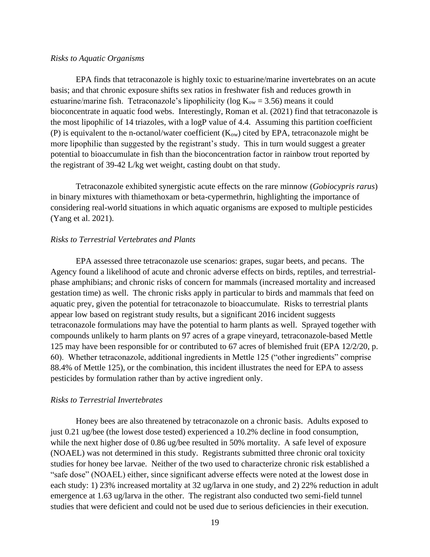#### *Risks to Aquatic Organisms*

EPA finds that tetraconazole is highly toxic to estuarine/marine invertebrates on an acute basis; and that chronic exposure shifts sex ratios in freshwater fish and reduces growth in estuarine/marine fish. Tetraconazole's lipophilicity (log  $K_{ow} = 3.56$ ) means it could bioconcentrate in aquatic food webs. Interestingly, Roman et al. (2021) find that tetraconazole is the most lipophilic of 14 triazoles, with a logP value of 4.4. Assuming this partition coefficient (P) is equivalent to the n-octanol/water coefficient  $(K_{ow})$  cited by EPA, tetraconazole might be more lipophilic than suggested by the registrant's study. This in turn would suggest a greater potential to bioaccumulate in fish than the bioconcentration factor in rainbow trout reported by the registrant of 39-42 L/kg wet weight, casting doubt on that study.

Tetraconazole exhibited synergistic acute effects on the rare minnow (*Gobiocypris rarus*) in binary mixtures with thiamethoxam or beta-cypermethrin, highlighting the importance of considering real-world situations in which aquatic organisms are exposed to multiple pesticides (Yang et al. 2021).

### *Risks to Terrestrial Vertebrates and Plants*

EPA assessed three tetraconazole use scenarios: grapes, sugar beets, and pecans. The Agency found a likelihood of acute and chronic adverse effects on birds, reptiles, and terrestrialphase amphibians; and chronic risks of concern for mammals (increased mortality and increased gestation time) as well. The chronic risks apply in particular to birds and mammals that feed on aquatic prey, given the potential for tetraconazole to bioaccumulate. Risks to terrestrial plants appear low based on registrant study results, but a significant 2016 incident suggests tetraconazole formulations may have the potential to harm plants as well. Sprayed together with compounds unlikely to harm plants on 97 acres of a grape vineyard, tetraconazole-based Mettle 125 may have been responsible for or contributed to 67 acres of blemished fruit (EPA 12/2/20, p. 60). Whether tetraconazole, additional ingredients in Mettle 125 ("other ingredients" comprise 88.4% of Mettle 125), or the combination, this incident illustrates the need for EPA to assess pesticides by formulation rather than by active ingredient only.

### *Risks to Terrestrial Invertebrates*

Honey bees are also threatened by tetraconazole on a chronic basis. Adults exposed to just 0.21 ug/bee (the lowest dose tested) experienced a 10.2% decline in food consumption, while the next higher dose of 0.86 ug/bee resulted in 50% mortality. A safe level of exposure (NOAEL) was not determined in this study. Registrants submitted three chronic oral toxicity studies for honey bee larvae. Neither of the two used to characterize chronic risk established a "safe dose" (NOAEL) either, since significant adverse effects were noted at the lowest dose in each study: 1) 23% increased mortality at 32 ug/larva in one study, and 2) 22% reduction in adult emergence at 1.63 ug/larva in the other. The registrant also conducted two semi-field tunnel studies that were deficient and could not be used due to serious deficiencies in their execution.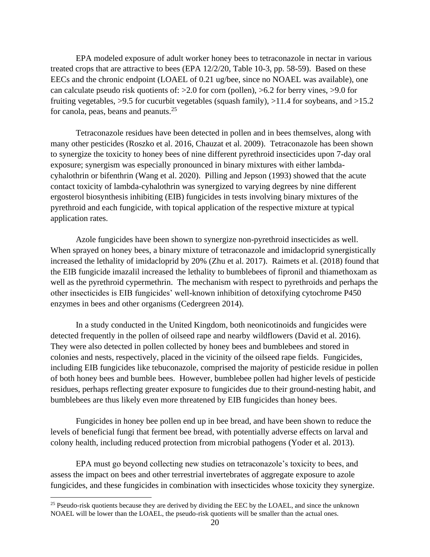EPA modeled exposure of adult worker honey bees to tetraconazole in nectar in various treated crops that are attractive to bees (EPA 12/2/20, Table 10-3, pp. 58-59). Based on these EECs and the chronic endpoint (LOAEL of 0.21 ug/bee, since no NOAEL was available), one can calculate pseudo risk quotients of: >2.0 for corn (pollen), >6.2 for berry vines, >9.0 for fruiting vegetables,  $>9.5$  for cucurbit vegetables (squash family),  $>11.4$  for soybeans, and  $>15.2$ for canola, peas, beans and peanuts.<sup>25</sup>

Tetraconazole residues have been detected in pollen and in bees themselves, along with many other pesticides (Roszko et al. 2016, Chauzat et al. 2009). Tetraconazole has been shown to synergize the toxicity to honey bees of nine different pyrethroid insecticides upon 7-day oral exposure; synergism was especially pronounced in binary mixtures with either lambdacyhalothrin or bifenthrin (Wang et al. 2020). Pilling and Jepson (1993) showed that the acute contact toxicity of lambda-cyhalothrin was synergized to varying degrees by nine different ergosterol biosynthesis inhibiting (EIB) fungicides in tests involving binary mixtures of the pyrethroid and each fungicide, with topical application of the respective mixture at typical application rates.

Azole fungicides have been shown to synergize non-pyrethroid insecticides as well. When sprayed on honey bees, a binary mixture of tetraconazole and imidacloprid synergistically increased the lethality of imidacloprid by 20% (Zhu et al. 2017). Raimets et al. (2018) found that the EIB fungicide imazalil increased the lethality to bumblebees of fipronil and thiamethoxam as well as the pyrethroid cypermethrin. The mechanism with respect to pyrethroids and perhaps the other insecticides is EIB fungicides' well-known inhibition of detoxifying cytochrome P450 enzymes in bees and other organisms (Cedergreen 2014).

In a study conducted in the United Kingdom, both neonicotinoids and fungicides were detected frequently in the pollen of oilseed rape and nearby wildflowers (David et al. 2016). They were also detected in pollen collected by honey bees and bumblebees and stored in colonies and nests, respectively, placed in the vicinity of the oilseed rape fields. Fungicides, including EIB fungicides like tebuconazole, comprised the majority of pesticide residue in pollen of both honey bees and bumble bees. However, bumblebee pollen had higher levels of pesticide residues, perhaps reflecting greater exposure to fungicides due to their ground-nesting habit, and bumblebees are thus likely even more threatened by EIB fungicides than honey bees.

Fungicides in honey bee pollen end up in bee bread, and have been shown to reduce the levels of beneficial fungi that ferment bee bread, with potentially adverse effects on larval and colony health, including reduced protection from microbial pathogens (Yoder et al. 2013).

EPA must go beyond collecting new studies on tetraconazole's toxicity to bees, and assess the impact on bees and other terrestrial invertebrates of aggregate exposure to azole fungicides, and these fungicides in combination with insecticides whose toxicity they synergize.

<sup>&</sup>lt;sup>25</sup> Pseudo-risk quotients because they are derived by dividing the EEC by the LOAEL, and since the unknown NOAEL will be lower than the LOAEL, the pseudo-risk quotients will be smaller than the actual ones.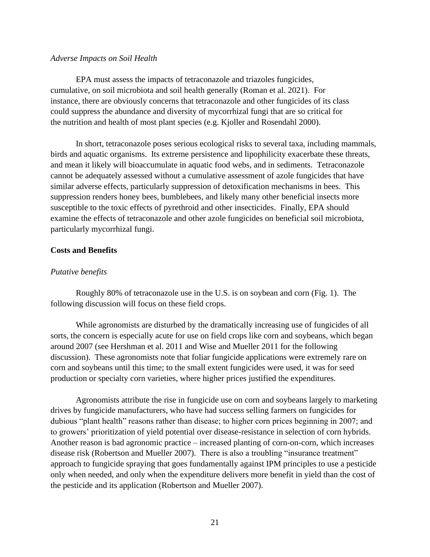### *Adverse Impacts on Soil Health*

EPA must assess the impacts of tetraconazole and triazoles fungicides, cumulative, on soil microbiota and soil health generally (Roman et al. 2021). For instance, there are obviously concerns that tetraconazole and other fungicides of its class could suppress the abundance and diversity of mycorrhizal fungi that are so critical for the nutrition and health of most plant species (e.g. Kjoller and Rosendahl 2000).

In short, tetraconazole poses serious ecological risks to several taxa, including mammals, birds and aquatic organisms. Its extreme persistence and lipophilicity exacerbate these threats, and mean it likely will bioaccumulate in aquatic food webs, and in sediments. Tetraconazole cannot be adequately assessed without a cumulative assessment of azole fungicides that have similar adverse effects, particularly suppression of detoxification mechanisms in bees. This suppression renders honey bees, bumblebees, and likely many other beneficial insects more susceptible to the toxic effects of pyrethroid and other insecticides. Finally, EPA should examine the effects of tetraconazole and other azole fungicides on beneficial soil microbiota, particularly mycorrhizal fungi.

## **Costs and Benefits**

## *Putative benefits*

Roughly 80% of tetraconazole use in the U.S. is on soybean and corn (Fig. 1). The following discussion will focus on these field crops.

While agronomists are disturbed by the dramatically increasing use of fungicides of all sorts, the concern is especially acute for use on field crops like corn and soybeans, which began around 2007 (see Hershman et al. 2011 and Wise and Mueller 2011 for the following discussion). These agronomists note that foliar fungicide applications were extremely rare on corn and soybeans until this time; to the small extent fungicides were used, it was for seed production or specialty corn varieties, where higher prices justified the expenditures.

Agronomists attribute the rise in fungicide use on corn and soybeans largely to marketing drives by fungicide manufacturers, who have had success selling farmers on fungicides for dubious "plant health" reasons rather than disease; to higher corn prices beginning in 2007; and to growers' prioritization of yield potential over disease-resistance in selection of corn hybrids. Another reason is bad agronomic practice – increased planting of corn-on-corn, which increases disease risk (Robertson and Mueller 2007). There is also a troubling "insurance treatment" approach to fungicide spraying that goes fundamentally against IPM principles to use a pesticide only when needed, and only when the expenditure delivers more benefit in yield than the cost of the pesticide and its application (Robertson and Mueller 2007).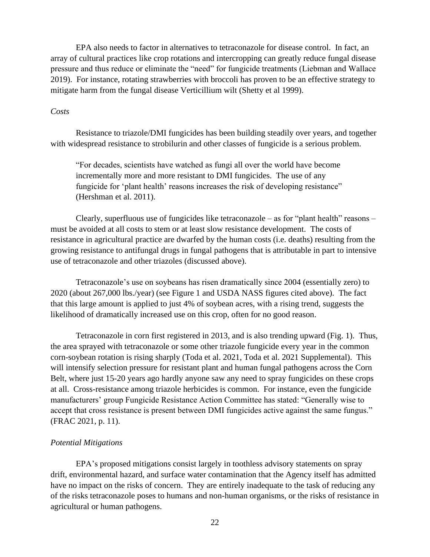EPA also needs to factor in alternatives to tetraconazole for disease control. In fact, an array of cultural practices like crop rotations and intercropping can greatly reduce fungal disease pressure and thus reduce or eliminate the "need" for fungicide treatments (Liebman and Wallace 2019). For instance, rotating strawberries with broccoli has proven to be an effective strategy to mitigate harm from the fungal disease Verticillium wilt (Shetty et al 1999).

### *Costs*

Resistance to triazole/DMI fungicides has been building steadily over years, and together with widespread resistance to strobilurin and other classes of fungicide is a serious problem.

"For decades, scientists have watched as fungi all over the world have become incrementally more and more resistant to DMI fungicides. The use of any fungicide for 'plant health' reasons increases the risk of developing resistance" (Hershman et al. 2011).

Clearly, superfluous use of fungicides like tetraconazole – as for "plant health" reasons – must be avoided at all costs to stem or at least slow resistance development. The costs of resistance in agricultural practice are dwarfed by the human costs (i.e. deaths) resulting from the growing resistance to antifungal drugs in fungal pathogens that is attributable in part to intensive use of tetraconazole and other triazoles (discussed above).

Tetraconazole's use on soybeans has risen dramatically since 2004 (essentially zero) to 2020 (about 267,000 lbs./year) (see Figure 1 and USDA NASS figures cited above). The fact that this large amount is applied to just 4% of soybean acres, with a rising trend, suggests the likelihood of dramatically increased use on this crop, often for no good reason.

Tetraconazole in corn first registered in 2013, and is also trending upward (Fig. 1). Thus, the area sprayed with tetraconazole or some other triazole fungicide every year in the common corn-soybean rotation is rising sharply (Toda et al. 2021, Toda et al. 2021 Supplemental). This will intensify selection pressure for resistant plant and human fungal pathogens across the Corn Belt, where just 15-20 years ago hardly anyone saw any need to spray fungicides on these crops at all. Cross-resistance among triazole herbicides is common. For instance, even the fungicide manufacturers' group Fungicide Resistance Action Committee has stated: "Generally wise to accept that cross resistance is present between DMI fungicides active against the same fungus." (FRAC 2021, p. 11).

## *Potential Mitigations*

EPA's proposed mitigations consist largely in toothless advisory statements on spray drift, environmental hazard, and surface water contamination that the Agency itself has admitted have no impact on the risks of concern. They are entirely inadequate to the task of reducing any of the risks tetraconazole poses to humans and non-human organisms, or the risks of resistance in agricultural or human pathogens.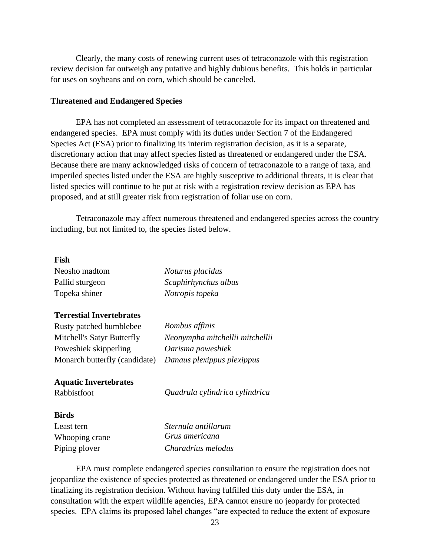Clearly, the many costs of renewing current uses of tetraconazole with this registration review decision far outweigh any putative and highly dubious benefits. This holds in particular for uses on soybeans and on corn, which should be canceled.

### **Threatened and Endangered Species**

EPA has not completed an assessment of tetraconazole for its impact on threatened and endangered species. EPA must comply with its duties under Section 7 of the Endangered Species Act (ESA) prior to finalizing its interim registration decision, as it is a separate, discretionary action that may affect species listed as threatened or endangered under the ESA. Because there are many acknowledged risks of concern of tetraconazole to a range of taxa, and imperiled species listed under the ESA are highly susceptive to additional threats, it is clear that listed species will continue to be put at risk with a registration review decision as EPA has proposed, and at still greater risk from registration of foliar use on corn.

Tetraconazole may affect numerous threatened and endangered species across the country including, but not limited to, the species listed below.

## **Fish**

| Neosho madtom   | Noturus placidus     |
|-----------------|----------------------|
| Pallid sturgeon | Scaphirhynchus albus |
| Topeka shiner   | Notropis topeka      |

## **Terrestial Invertebrates**

| Rusty patched bumblebee       | <b>Bombus</b> affinis           |
|-------------------------------|---------------------------------|
| Mitchell's Satyr Butterfly    | Neonympha mitchellii mitchellii |
| Poweshiek skipperling         | Oarisma poweshiek               |
| Monarch butterfly (candidate) | Danaus plexippus plexippus      |

### **Aquatic Invertebrates**

Rabbistfoot *Quadrula cylindrica cylindrica*

#### **Birds**

| Least tern     | Sternula antillarum |
|----------------|---------------------|
| Whooping crane | Grus americana      |
| Piping plover  | Charadrius melodus  |

EPA must complete endangered species consultation to ensure the registration does not jeopardize the existence of species protected as threatened or endangered under the ESA prior to finalizing its registration decision. Without having fulfilled this duty under the ESA, in consultation with the expert wildlife agencies, EPA cannot ensure no jeopardy for protected species. EPA claims its proposed label changes "are expected to reduce the extent of exposure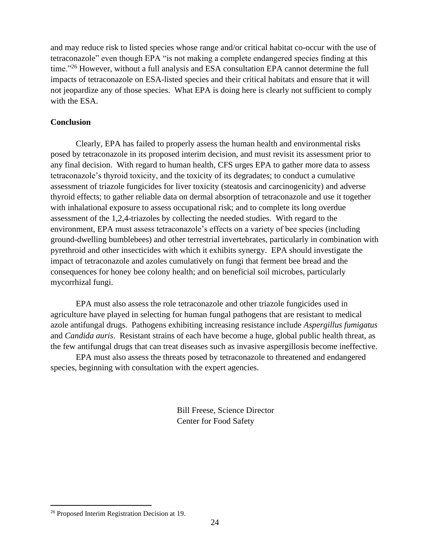and may reduce risk to listed species whose range and/or critical habitat co-occur with the use of tetraconazole" even though EPA "is not making a complete endangered species finding at this time."<sup>26</sup> However, without a full analysis and ESA consultation EPA cannot determine the full impacts of tetraconazole on ESA-listed species and their critical habitats and ensure that it will not jeopardize any of those species. What EPA is doing here is clearly not sufficient to comply with the ESA.

## **Conclusion**

Clearly, EPA has failed to properly assess the human health and environmental risks posed by tetraconazole in its proposed interim decision, and must revisit its assessment prior to any final decision. With regard to human health, CFS urges EPA to gather more data to assess tetraconazole's thyroid toxicity, and the toxicity of its degradates; to conduct a cumulative assessment of triazole fungicides for liver toxicity (steatosis and carcinogenicity) and adverse thyroid effects; to gather reliable data on dermal absorption of tetraconazole and use it together with inhalational exposure to assess occupational risk; and to complete its long overdue assessment of the 1,2,4-triazoles by collecting the needed studies. With regard to the environment, EPA must assess tetraconazole's effects on a variety of bee species (including ground-dwelling bumblebees) and other terrestrial invertebrates, particularly in combination with pyrethroid and other insecticides with which it exhibits synergy. EPA should investigate the impact of tetraconazole and azoles cumulatively on fungi that ferment bee bread and the consequences for honey bee colony health; and on beneficial soil microbes, particularly mycorrhizal fungi.

EPA must also assess the role tetraconazole and other triazole fungicides used in agriculture have played in selecting for human fungal pathogens that are resistant to medical azole antifungal drugs. Pathogens exhibiting increasing resistance include *Aspergillus fumigatus* and *Candida auris*. Resistant strains of each have become a huge, global public health threat, as the few antifungal drugs that can treat diseases such as invasive aspergillosis become ineffective.

EPA must also assess the threats posed by tetraconazole to threatened and endangered species, beginning with consultation with the expert agencies.

> Bill Freese, Science Director Center for Food Safety

<sup>26</sup> Proposed Interim Registration Decision at 19.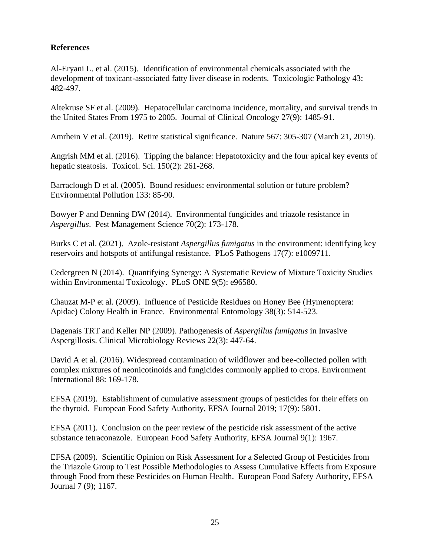## **References**

Al-Eryani L. et al. (2015). Identification of environmental chemicals associated with the development of toxicant-associated fatty liver disease in rodents. Toxicologic Pathology 43: 482-497.

Altekruse SF et al. (2009). Hepatocellular carcinoma incidence, mortality, and survival trends in the United States From 1975 to 2005. Journal of Clinical Oncology 27(9): 1485-91.

Amrhein V et al. (2019). Retire statistical significance. Nature 567: 305-307 (March 21, 2019).

Angrish MM et al. (2016). Tipping the balance: Hepatotoxicity and the four apical key events of hepatic steatosis. Toxicol. Sci. 150(2): 261-268.

Barraclough D et al. (2005). Bound residues: environmental solution or future problem? Environmental Pollution 133: 85-90.

Bowyer P and Denning DW (2014). Environmental fungicides and triazole resistance in *Aspergillus*. Pest Management Science 70(2): 173-178.

Burks C et al. (2021). Azole-resistant *Aspergillus fumigatus* in the environment: identifying key reservoirs and hotspots of antifungal resistance. PLoS Pathogens 17(7): e1009711.

Cedergreen N (2014). Quantifying Synergy: A Systematic Review of Mixture Toxicity Studies within Environmental Toxicology. PLoS ONE 9(5): e96580.

Chauzat M-P et al. (2009). Influence of Pesticide Residues on Honey Bee (Hymenoptera: Apidae) Colony Health in France. Environmental Entomology 38(3): 514-523.

Dagenais TRT and Keller NP (2009). Pathogenesis of *Aspergillus fumigatus* in Invasive Aspergillosis. Clinical Microbiology Reviews 22(3): 447-64.

David A et al. (2016). Widespread contamination of wildflower and bee-collected pollen with complex mixtures of neonicotinoids and fungicides commonly applied to crops. Environment International 88: 169-178.

EFSA (2019). Establishment of cumulative assessment groups of pesticides for their effets on the thyroid. European Food Safety Authority, EFSA Journal 2019; 17(9): 5801.

EFSA (2011). Conclusion on the peer review of the pesticide risk assessment of the active substance tetraconazole. European Food Safety Authority, EFSA Journal 9(1): 1967.

EFSA (2009). Scientific Opinion on Risk Assessment for a Selected Group of Pesticides from the Triazole Group to Test Possible Methodologies to Assess Cumulative Effects from Exposure through Food from these Pesticides on Human Health. European Food Safety Authority, EFSA Journal 7 (9); 1167.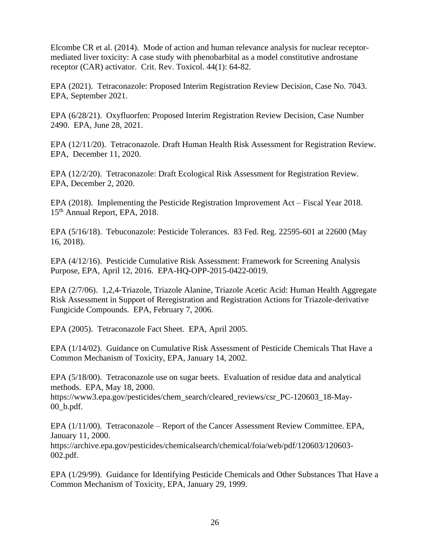Elcombe CR et al. (2014). Mode of action and human relevance analysis for nuclear receptormediated liver toxicity: A case study with phenobarbital as a model constitutive androstane receptor (CAR) activator. Crit. Rev. Toxicol. 44(1): 64-82.

EPA (2021). Tetraconazole: Proposed Interim Registration Review Decision, Case No. 7043. EPA, September 2021.

EPA (6/28/21). Oxyfluorfen: Proposed Interim Registration Review Decision, Case Number 2490. EPA, June 28, 2021.

EPA (12/11/20). Tetraconazole. Draft Human Health Risk Assessment for Registration Review. EPA, December 11, 2020.

EPA (12/2/20). Tetraconazole: Draft Ecological Risk Assessment for Registration Review. EPA, December 2, 2020.

EPA (2018). Implementing the Pesticide Registration Improvement Act – Fiscal Year 2018. 15<sup>th</sup> Annual Report, EPA, 2018.

EPA (5/16/18). Tebuconazole: Pesticide Tolerances. 83 Fed. Reg. 22595-601 at 22600 (May 16, 2018).

EPA (4/12/16). Pesticide Cumulative Risk Assessment: Framework for Screening Analysis Purpose, EPA, April 12, 2016. EPA-HQ-OPP-2015-0422-0019.

EPA (2/7/06). 1,2,4-Triazole, Triazole Alanine, Triazole Acetic Acid: Human Health Aggregate Risk Assessment in Support of Reregistration and Registration Actions for Triazole-derivative Fungicide Compounds. EPA, February 7, 2006.

EPA (2005). Tetraconazole Fact Sheet. EPA, April 2005.

EPA (1/14/02). Guidance on Cumulative Risk Assessment of Pesticide Chemicals That Have a Common Mechanism of Toxicity, EPA, January 14, 2002.

EPA (5/18/00). Tetraconazole use on sugar beets. Evaluation of residue data and analytical methods. EPA, May 18, 2000.

[https://www3.epa.gov/pesticides/chem\\_search/cleared\\_reviews/csr\\_PC-120603\\_18-May-](https://www3.epa.gov/pesticides/chem_search/cleared_reviews/csr_PC-120603_18-May-00_b.pdf)[00\\_b.pdf.](https://www3.epa.gov/pesticides/chem_search/cleared_reviews/csr_PC-120603_18-May-00_b.pdf)

EPA (1/11/00). Tetraconazole – Report of the Cancer Assessment Review Committee. EPA, January 11, 2000.

[https://archive.epa.gov/pesticides/chemicalsearch/chemical/foia/web/pdf/120603/120603-](https://archive.epa.gov/pesticides/chemicalsearch/chemical/foia/web/pdf/120603/120603-002.pdf) [002.pdf.](https://archive.epa.gov/pesticides/chemicalsearch/chemical/foia/web/pdf/120603/120603-002.pdf)

EPA (1/29/99). Guidance for Identifying Pesticide Chemicals and Other Substances That Have a Common Mechanism of Toxicity, EPA, January 29, 1999.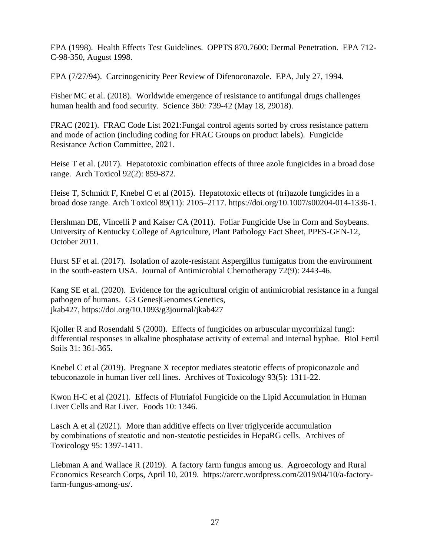EPA (1998). Health Effects Test Guidelines. OPPTS 870.7600: Dermal Penetration. EPA 712- C-98-350, August 1998.

EPA (7/27/94). Carcinogenicity Peer Review of Difenoconazole. EPA, July 27, 1994.

Fisher MC et al. (2018). Worldwide emergence of resistance to antifungal drugs challenges human health and food security. Science 360: 739-42 (May 18, 29018).

FRAC (2021). FRAC Code List 2021:Fungal control agents sorted by cross resistance pattern and mode of action (including coding for FRAC Groups on product labels). Fungicide Resistance Action Committee, 2021.

Heise T et al. (2017). Hepatotoxic combination effects of three azole fungicides in a broad dose range. Arch Toxicol 92(2): 859-872.

Heise T, Schmidt F, Knebel C et al (2015). Hepatotoxic effects of (tri)azole fungicides in a broad dose range. Arch Toxicol 89(11): 2105–2117. [https://doi.org/10.1007/s00204-014-1336-1.](https://doi.org/10.1007/s00204-014-1336-1)

Hershman DE, Vincelli P and Kaiser CA (2011). Foliar Fungicide Use in Corn and Soybeans. University of Kentucky College of Agriculture, Plant Pathology Fact Sheet, PPFS-GEN-12, October 2011.

Hurst SF et al. (2017). Isolation of azole-resistant Aspergillus fumigatus from the environment in the south-eastern USA. Journal of Antimicrobial Chemotherapy 72(9): 2443-46.

Kang SE et al. (2020). Evidence for the agricultural origin of antimicrobial resistance in a fungal pathogen of humans. G3 Genes|Genomes|Genetics, jkab427, <https://doi.org/10.1093/g3journal/jkab427>

Kjoller R and Rosendahl S (2000). Effects of fungicides on arbuscular mycorrhizal fungi: differential responses in alkaline phosphatase activity of external and internal hyphae. Biol Fertil Soils 31: 361-365.

Knebel C et al (2019). Pregnane X receptor mediates steatotic effects of propiconazole and tebuconazole in human liver cell lines. Archives of Toxicology 93(5): 1311-22.

Kwon H-C et al (2021). Effects of Flutriafol Fungicide on the Lipid Accumulation in Human Liver Cells and Rat Liver. Foods 10: 1346.

Lasch A et al (2021). More than additive effects on liver triglyceride accumulation by combinations of steatotic and non‐steatotic pesticides in HepaRG cells. Archives of Toxicology 95: 1397-1411.

Liebman A and Wallace R (2019). A factory farm fungus among us. Agroecology and Rural Economics Research Corps, April 10, 2019. [https://arerc.wordpress.com/2019/04/10/a-factory](https://arerc.wordpress.com/2019/04/10/a-factory-farm-fungus-among-us/)[farm-fungus-among-us/.](https://arerc.wordpress.com/2019/04/10/a-factory-farm-fungus-among-us/)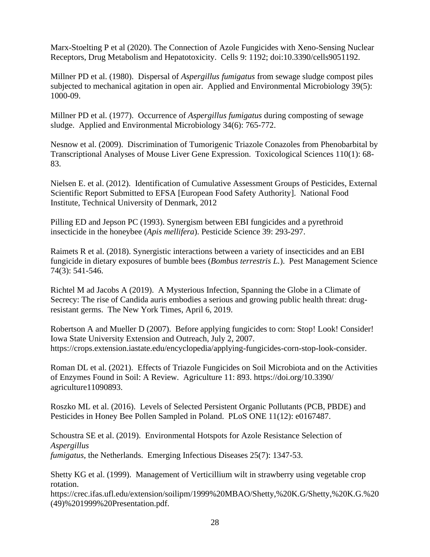Marx-Stoelting P et al (2020). The Connection of Azole Fungicides with Xeno-Sensing Nuclear Receptors, Drug Metabolism and Hepatotoxicity. Cells 9: 1192; doi:10.3390/cells9051192.

Millner PD et al. (1980). Dispersal of *Aspergillus fumigatus* from sewage sludge compost piles subjected to mechanical agitation in open air. Applied and Environmental Microbiology 39(5): 1000-09.

Millner PD et al. (1977). Occurrence of *Aspergillus fumigatus* during composting of sewage sludge. Applied and Environmental Microbiology 34(6): 765-772.

Nesnow et al. (2009). Discrimination of Tumorigenic Triazole Conazoles from Phenobarbital by Transcriptional Analyses of Mouse Liver Gene Expression. Toxicological Sciences 110(1): 68- 83.

Nielsen E. et al. (2012). Identification of Cumulative Assessment Groups of Pesticides, External Scientific Report Submitted to EFSA [European Food Safety Authority]. National Food Institute, Technical University of Denmark, 2012

Pilling ED and Jepson PC (1993). Synergism between EBI fungicides and a pyrethroid insecticide in the honeybee (*Apis mellifera*). Pesticide Science 39: 293-297.

Raimets R et al. (2018). Synergistic interactions between a variety of insecticides and an EBI fungicide in dietary exposures of bumble bees (*Bombus terrestris L.*). Pest Management Science 74(3): 541-546.

Richtel M ad Jacobs A (2019). A Mysterious Infection, Spanning the Globe in a Climate of Secrecy: The rise of Candida auris embodies a serious and growing public health threat: drugresistant germs. The New York Times, April 6, 2019.

Robertson A and Mueller D (2007). Before applying fungicides to corn: Stop! Look! Consider! Iowa State University Extension and Outreach, July 2, 2007. [https://crops.extension.iastate.edu/encyclopedia/applying-fungicides-corn-stop-look-consider.](https://crops.extension.iastate.edu/encyclopedia/applying-fungicides-corn-stop-look-consider)

Roman DL et al. (2021). Effects of Triazole Fungicides on Soil Microbiota and on the Activities of Enzymes Found in Soil: A Review. Agriculture 11: 893. https://doi.org/10.3390/ agriculture11090893.

Roszko ML et al. (2016). Levels of Selected Persistent Organic Pollutants (PCB, PBDE) and Pesticides in Honey Bee Pollen Sampled in Poland. PLoS ONE 11(12): e0167487.

Schoustra SE et al. (2019). Environmental Hotspots for Azole Resistance Selection of *Aspergillus fumigatus*, the Netherlands. Emerging Infectious Diseases 25(7): 1347-53.

Shetty KG et al. (1999). Management of Verticillium wilt in strawberry using vegetable crop rotation.

[https://crec.ifas.ufl.edu/extension/soilipm/1999%20MBAO/Shetty,%20K.G/Shetty,%20K.G.%20](https://crec.ifas.ufl.edu/extension/soilipm/1999%20MBAO/Shetty,%20K.G/Shetty,%20K.G.%20(49)%201999%20Presentation.pdf) [\(49\)%201999%20Presentation.pdf.](https://crec.ifas.ufl.edu/extension/soilipm/1999%20MBAO/Shetty,%20K.G/Shetty,%20K.G.%20(49)%201999%20Presentation.pdf)